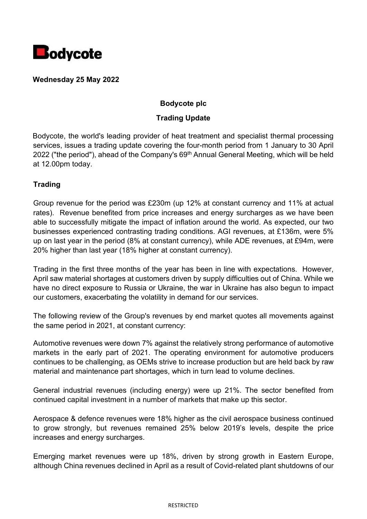

**Wednesday 25 May 2022**

## **Bodycote plc**

## **Trading Update**

Bodycote, the world's leading provider of heat treatment and specialist thermal processing services, issues a trading update covering the four-month period from 1 January to 30 April 2022 ("the period"), ahead of the Company's  $69<sup>th</sup>$  Annual General Meeting, which will be held at 12.00pm today.

## **Trading**

Group revenue for the period was £230m (up 12% at constant currency and 11% at actual rates). Revenue benefited from price increases and energy surcharges as we have been able to successfully mitigate the impact of inflation around the world. As expected, our two businesses experienced contrasting trading conditions. AGI revenues, at £136m, were 5% up on last year in the period (8% at constant currency), while ADE revenues, at £94m, were 20% higher than last year (18% higher at constant currency).

Trading in the first three months of the year has been in line with expectations. However, April saw material shortages at customers driven by supply difficulties out of China. While we have no direct exposure to Russia or Ukraine, the war in Ukraine has also begun to impact our customers, exacerbating the volatility in demand for our services.

The following review of the Group's revenues by end market quotes all movements against the same period in 2021, at constant currency:

Automotive revenues were down 7% against the relatively strong performance of automotive markets in the early part of 2021. The operating environment for automotive producers continues to be challenging, as OEMs strive to increase production but are held back by raw material and maintenance part shortages, which in turn lead to volume declines.

General industrial revenues (including energy) were up 21%. The sector benefited from continued capital investment in a number of markets that make up this sector.

Aerospace & defence revenues were 18% higher as the civil aerospace business continued to grow strongly, but revenues remained 25% below 2019's levels, despite the price increases and energy surcharges.

Emerging market revenues were up 18%, driven by strong growth in Eastern Europe, although China revenues declined in April as a result of Covid-related plant shutdowns of our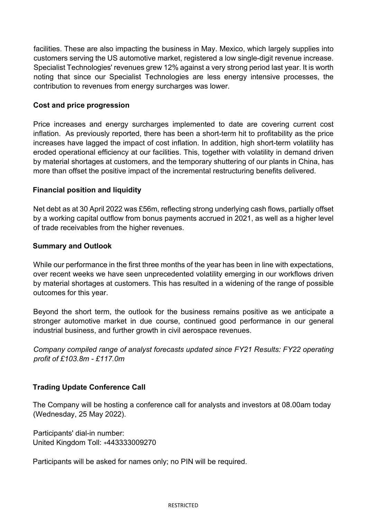facilities. These are also impacting the business in May. Mexico, which largely supplies into customers serving the US automotive market, registered a low single-digit revenue increase. Specialist Technologies' revenues grew 12% against a very strong period last year. It is worth noting that since our Specialist Technologies are less energy intensive processes, the contribution to revenues from energy surcharges was lower.

### **Cost and price progression**

Price increases and energy surcharges implemented to date are covering current cost inflation. As previously reported, there has been a short-term hit to profitability as the price increases have lagged the impact of cost inflation. In addition, high short-term volatility has eroded operational efficiency at our facilities. This, together with volatility in demand driven by material shortages at customers, and the temporary shuttering of our plants in China, has more than offset the positive impact of the incremental restructuring benefits delivered.

### **Financial position and liquidity**

Net debt as at 30 April 2022 was £56m, reflecting strong underlying cash flows, partially offset by a working capital outflow from bonus payments accrued in 2021, as well as a higher level of trade receivables from the higher revenues.

#### **Summary and Outlook**

While our performance in the first three months of the year has been in line with expectations, over recent weeks we have seen unprecedented volatility emerging in our workflows driven by material shortages at customers. This has resulted in a widening of the range of possible outcomes for this year.

Beyond the short term, the outlook for the business remains positive as we anticipate a stronger automotive market in due course, continued good performance in our general industrial business, and further growth in civil aerospace revenues.

*Company compiled range of analyst forecasts updated since FY21 Results: FY22 operating profit of £103.8m - £117.0m*

## **Trading Update Conference Call**

The Company will be hosting a conference call for analysts and investors at 08.00am today (Wednesday, 25 May 2022).

Participants' dial-in number: United Kingdom Toll: +443333009270

Participants will be asked for names only; no PIN will be required.